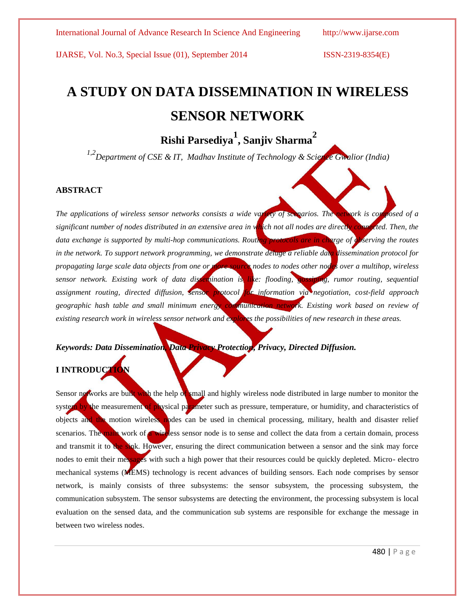# **A STUDY ON DATA DISSEMINATION IN WIRELESS SENSOR NETWORK**

# **Rishi Parsediya<sup>1</sup> , Sanjiv Sharma<sup>2</sup>**

<sup>1,2</sup>*Department of CSE & IT, Madhav Institute of Technology & Science Gwalior (India)* 

### **ABSTRACT**

*The applications of wireless sensor networks consists a wide variety of scenarios. The network is composed of a significant number of nodes distributed in an extensive area in which not all nodes are directly connected. Then, the data exchange is supported by multi-hop communications. Routing protocols are in charge of observing the routes in the network. To support network programming, we demonstrate deluge a reliable data dissemination protocol for propagating large scale data objects from one or more-source nodes to nodes other nodes over a multihop, wireless sensor network. Existing work of data dissemination is like: flooding, gossiping, rumor routing, sequential assignment routing, directed diffusion, sensor protocol for information via negotiation, cost-field approach geographic hash table and small minimum energy communication network. Existing work based on review of existing research work in wireless sensor network and explores the possibilities of new research in these areas.*

*Keywords: Data Dissemination, Data Privacy Protection, Privacy, Directed Diffusion.*

### **I INTRODUCTION**

Sensor networks are built with the help of small and highly wireless node distributed in large number to monitor the system by the measurement of physical parameter such as pressure, temperature, or humidity, and characteristics of objects and the motion wireless nodes can be used in chemical processing, military, health and disaster relief scenarios. The main work of a wireless sensor node is to sense and collect the data from a certain domain, process and transmit it to the sink. However, ensuring the direct communication between a sensor and the sink may force nodes to emit their messages with such a high power that their resources could be quickly depleted. Micro- electro mechanical systems (MEMS) technology is recent advances of building sensors. Each node comprises by sensor network, is mainly consists of three subsystems: the sensor subsystem, the processing subsystem, the communication subsystem. The sensor subsystems are detecting the environment, the processing subsystem is local evaluation on the sensed data, and the communication sub systems are responsible for exchange the message in between two wireless nodes.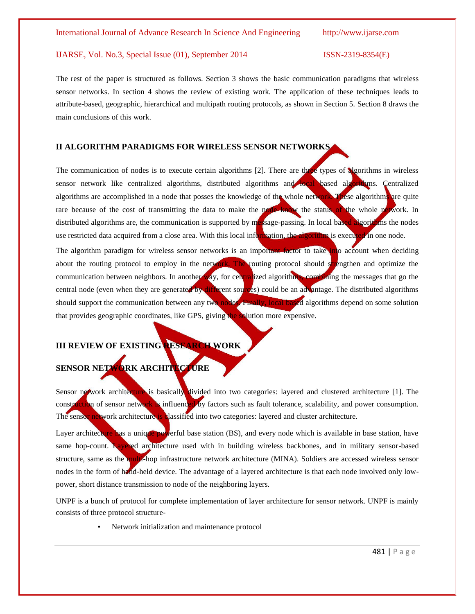The rest of the paper is structured as follows. Section 3 shows the basic communication paradigms that wireless sensor networks. In section 4 shows the review of existing work. The application of these techniques leads to attribute-based, geographic, hierarchical and multipath routing protocols, as shown in Section 5. Section 8 draws the main conclusions of this work.

### **II ALGORITHM PARADIGMS FOR WIRELESS SENSOR NETWORKS**

The communication of nodes is to execute certain algorithms  $[2]$ . There are three types of algorithms in wireless sensor network like centralized algorithms, distributed algorithms and local based algorithms. Centralized algorithms are accomplished in a node that posses the knowledge of the whole network. These algorithms are quite rare because of the cost of transmitting the data to make the node know the status of the whole network. In distributed algorithms are, the communication is supported by message-passing. In local based algorithms the nodes use restricted data acquired from a close area. With this local information, the algorithm is executed in one node.

The algorithm paradigm for wireless sensor networks is an important factor to take into account when deciding about the routing protocol to employ in the network. The routing protocol should stuengthen and optimize the communication between neighbors. In another way, for centralized algorithms, combining the messages that go the central node (even when they are generated by different sources) could be an advantage. The distributed algorithms should support the communication between any two nodes. Finally, local based algorithms depend on some solution that provides geographic coordinates, like GPS, giving the solution more expensive.

### **III REVIEW OF EXISTING RESEARCH WORK**

# **SENSOR NETWORK ARCHITECTURE**

Sensor network architecture is basically divided into two categories: layered and clustered architecture [1]. The construction of sensor network is influenced by factors such as fault tolerance, scalability, and power consumption. The sensor network architecture is classified into two categories: layered and cluster architecture.

Layer architecture has a unique powerful base station (BS), and every node which is available in base station, have same hop-count. Layered architecture used with in building wireless backbones, and in military sensor-based structure, same as the multi-hop infrastructure network architecture (MINA). Soldiers are accessed wireless sensor nodes in the form of hand-held device. The advantage of a layered architecture is that each node involved only lowpower, short distance transmission to node of the neighboring layers.

UNPF is a bunch of protocol for complete implementation of layer architecture for sensor network. UNPF is mainly consists of three protocol structure-

Network initialization and maintenance protocol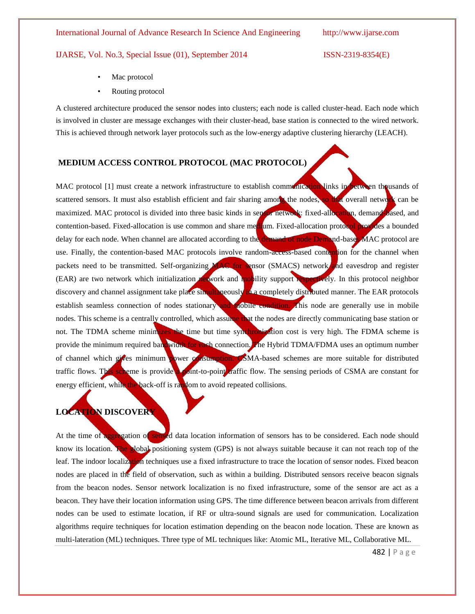### IJARSE, Vol. No.3, Special Issue (01), September 2014 ISSN-2319-8354(E)

- Mac protocol
- Routing protocol

A clustered architecture produced the sensor nodes into clusters; each node is called cluster-head. Each node which is involved in cluster are message exchanges with their cluster-head, base station is connected to the wired network. This is achieved through network layer protocols such as the low-energy adaptive clustering hierarchy (LEACH).

### **MEDIUM ACCESS CONTROL PROTOCOL (MAC PROTOCOL)**

MAC protocol [1] must create a network infrastructure to establish communication links in between thousands of scattered sensors. It must also establish efficient and fair sharing among the nodes, so that overall network can be maximized. MAC protocol is divided into three basic kinds in sensor network: fixed-allocation, demand-based, and contention-based. Fixed-allocation is use common and share medium. Fixed-allocation protocol provides a bounded delay for each node. When channel are allocated according to the demand of node Demand-bases MAC protocol are use. Finally, the contention-based MAC protocols involve random-access-based contention for the channel when packets need to be transmitted. Self-organizing MAC for sensor (SMACS) network and eavesdrop and register (EAR) are two network which initialization network and mobility support respectively. In this protocol neighbor discovery and channel assignment take place simultaneously in a completely distributed manner. The EAR protocols establish seamless connection of nodes stationary and mobile condition. This node are generally use in mobile nodes. This scheme is a centrally controlled, which assume that the nodes are directly communicating base station or not. The TDMA scheme minimizes the time but time synchronization cost is very high. The FDMA scheme is provide the minimum required bandwidth for each connection. The Hybrid TDMA/FDMA uses an optimum number of channel which gives minimum power consumption. CSMA-based schemes are more suitable for distributed traffic flows. This scheme is provide a point-to-point raffic flow. The sensing periods of CSMA are constant for energy efficient, while the back-off is random to avoid repeated collisions.

### **LOCATION DISCOVERY**

At the time of aggregation of sensed data location information of sensors has to be considered. Each node should know its location. The global positioning system (GPS) is not always suitable because it can not reach top of the leaf. The indoor localization techniques use a fixed infrastructure to trace the location of sensor nodes. Fixed beacon nodes are placed in the field of observation, such as within a building. Distributed sensors receive beacon signals from the beacon nodes. Sensor network localization is no fixed infrastructure, some of the sensor are act as a beacon. They have their location information using GPS. The time difference between beacon arrivals from different nodes can be used to estimate location, if RF or ultra-sound signals are used for communication. Localization algorithms require techniques for location estimation depending on the beacon node location. These are known as multi-lateration (ML) techniques. Three type of ML techniques like: Atomic ML, Iterative ML, Collaborative ML.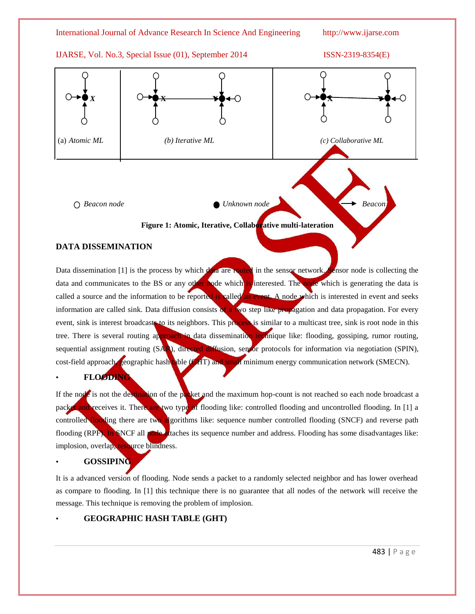### IJARSE, Vol. No.3, Special Issue (01), September 2014 ISSN-2319-8354(E)



### **Figure 1: Atomic, Iterative, Collaborative multi-lateration**

### **DATA DISSEMINATION**

Data dissemination [1] is the process by which data are routed in the sensor network. Sensor node is collecting the data and communicates to the BS or any other node which is interested. The node which is generating the data is called a source and the information to be reported is called an event. A node which is interested in event and seeks information are called sink. Data diffusion consists of a two step like propagation and data propagation. For every event, sink is interest broadcasts to its neighbors. This process is similar to a multicast tree, sink is root node in this tree. There is several routing approach in data dissemination technique like: flooding, gossiping, rumor routing, sequential assignment routing (SAR), directed diffusion, sensor protocols for information via negotiation (SPIN), cost-field approach, geographic hash table (GHT) and small minimum energy communication network (SMECN).

• **FLOODING** 

If the node is not the destination of the packet and the maximum hop-count is not reached so each node broadcast a packet and receives it. There are two type of flooding like: controlled flooding and uncontrolled flooding. In [1] a controlled flooding there are two algorithms like: sequence number controlled flooding (SNCF) and reverse path flooding (RPF). In SNCF all node attaches its sequence number and address. Flooding has some disadvantages like: implosion, overlap, resource blindness.

### • **GOSSIPING**

It is a advanced version of flooding. Node sends a packet to a randomly selected neighbor and has lower overhead as compare to flooding. In [1] this technique there is no guarantee that all nodes of the network will receive the message. This technique is removing the problem of implosion.

### • **GEOGRAPHIC HASH TABLE (GHT)**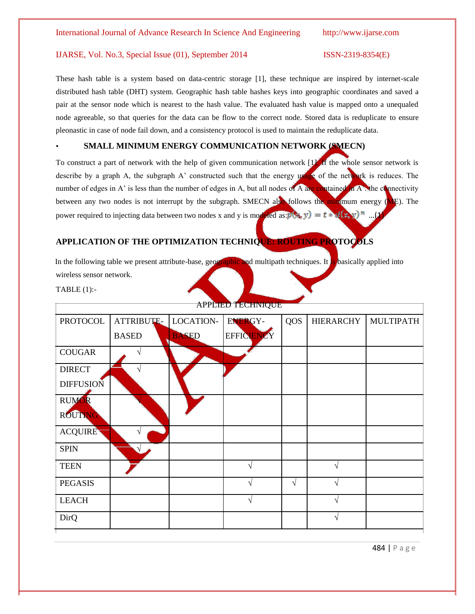These hash table is a system based on data-centric storage [1], these technique are inspired by internet-scale distributed hash table (DHT) system. Geographic hash table hashes keys into geographic coordinates and saved a pair at the sensor node which is nearest to the hash value. The evaluated hash value is mapped onto a unequaled node agreeable, so that queries for the data can be flow to the correct node. Stored data is reduplicate to ensure pleonastic in case of node fail down, and a consistency protocol is used to maintain the reduplicate data.

### • **SMALL MINIMUM ENERGY COMMUNICATION NETWORK (SMECN)**

To construct a part of network with the help of given communication network [1]. If the whole sensor network is describe by a graph A, the subgraph A' constructed such that the energy usage of the network is reduces. The number of edges in A' is less than the number of edges in A, but all nodes of A are contained in A. the connectivity between any two nodes is not interrupt by the subgraph. SMECN also follows the minimum energy (ME). The power required to injecting data between two nodes x and y is modeled as  $p(x, y) = t * d(x, y)^n$ .

### **APPLICATION OF THE OPTIMIZATION TECHNIQUE: ROUTING PROTOCOLS**

In the following table we present attribute-base, geographic and multipath techniques. It is basically applied into wireless sensor network.

TABLE (1):-

| APPLIED TECHNIQUE |                   |              |                |            |                  |                  |  |  |  |
|-------------------|-------------------|--------------|----------------|------------|------------------|------------------|--|--|--|
| <b>PROTOCOL</b>   | <b>ATTRIBUTE-</b> | LOCATION-    | <b>ENERGY-</b> | <b>QOS</b> | <b>HIERARCHY</b> | <b>MULTIPATH</b> |  |  |  |
|                   | <b>BASED</b>      | <b>BASED</b> | EFFICIENCY     |            |                  |                  |  |  |  |
| <b>COUGAR</b>     |                   |              |                |            |                  |                  |  |  |  |
| <b>DIRECT</b>     |                   |              |                |            |                  |                  |  |  |  |
| <b>DIFFUSION</b>  |                   |              |                |            |                  |                  |  |  |  |
| <b>RUMOR</b>      |                   |              |                |            |                  |                  |  |  |  |
| ROUTING           |                   |              |                |            |                  |                  |  |  |  |
| <b>ACQUIRE</b>    | ٦Ι                |              |                |            |                  |                  |  |  |  |
| <b>SPIN</b>       |                   |              |                |            |                  |                  |  |  |  |
| <b>TEEN</b>       |                   |              | $\sqrt{ }$     |            |                  |                  |  |  |  |
| <b>PEGASIS</b>    |                   |              | N              | $\sqrt{ }$ |                  |                  |  |  |  |
| <b>LEACH</b>      |                   |              | N              |            |                  |                  |  |  |  |
| DirQ              |                   |              |                |            |                  |                  |  |  |  |

APPLIED TECHNIQUE

484 | P a g e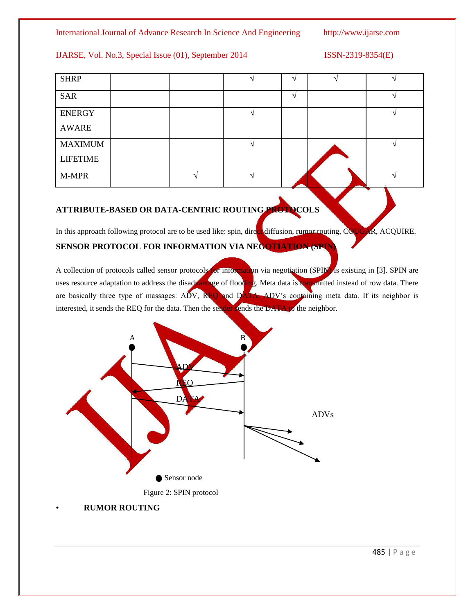### IJARSE, Vol. No.3, Special Issue (01), September 2014 ISSN-2319-8354(E)

| <b>SHRP</b>     |  | $\triangleleft$          |  |
|-----------------|--|--------------------------|--|
| <b>SAR</b>      |  | $\overline{\phantom{a}}$ |  |
| <b>ENERGY</b>   |  |                          |  |
| <b>AWARE</b>    |  |                          |  |
| <b>MAXIMUM</b>  |  |                          |  |
| <b>LIFETIME</b> |  |                          |  |
| M-MPR           |  |                          |  |

## **ATTRIBUTE-BASED OR DATA-CENTRIC ROUTING PROTOCOLS**

In this approach following protocol are to be used like: spin, direct diffusion, rumor routing, COUGAR, ACQUIRE.

### **SENSOR PROTOCOL FOR INFORMATION VIA NEGOTIATION (SPI**

A collection of protocols called sensor protocols for information via negotiation (SPIN) is existing in [3]. SPIN are uses resource adaptation to address the disadvantage of flooding. Meta data is transmitted instead of row data. There are basically three type of massages: ADV, REQ and DATA. ADV's containing meta data. If its neighbor is interested, it sends the REQ for the data. Then the sender sends the DATA to the neighbor.



• **RUMOR ROUTING**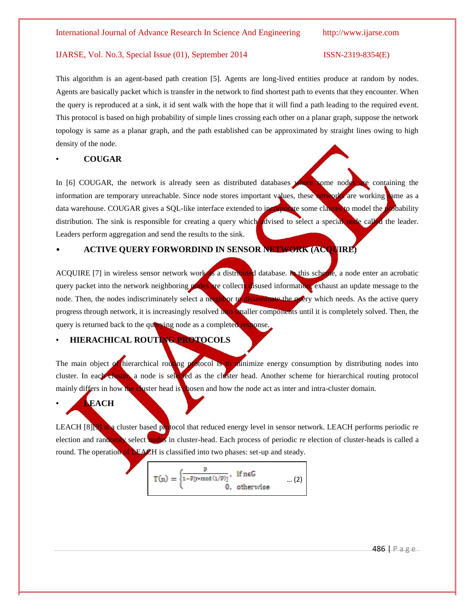This algorithm is an agent-based path creation [5]. Agents are long-lived entities produce at random by nodes. Agents are basically packet which is transfer in the network to find shortest path to events that they encounter. When the query is reproduced at a sink, it id sent walk with the hope that it will find a path leading to the required event. This protocol is based on high probability of simple lines crossing each other on a planar graph, suppose the network topology is same as a planar graph, and the path established can be approximated by straight lines owing to high density of the node.

### • **COUGAR**

In [6] COUGAR, the network is already seen as distributed databases where some nodes are containing the information are temporary unreachable. Since node stores important values, these networks are working same as a data warehouse. COUGAR gives a SQL-like interface extended to incorporate some clauses to model the probability distribution. The sink is responsible for creating a query which advised to select a special node called the leader. Leaders perform aggregation and send the results to the sink.

### • **ACTIVE QUERY FORWORDIND IN SENSOR NETWORK (ACQUIRE)**

ACQUIRE [7] in wireless sensor network work as a distributed database. In this scheme, a node enter an acrobatic query packet into the network neighboring nodes are collects disused information, exhaust an update message to the node. Then, the nodes indiscriminately select a neighbor to disseminate the query which needs. As the active query progress through network, it is increasingly resolved into smaller components until it is completely solved. Then, the query is returned back to the querying node as a completed response.

### • **HIERACHICAL ROUTING PROTOCOLS**

The main object of hierarchical routing protocol is to minimize energy consumption by distributing nodes into cluster. In each cluster, a node is selected as the cluster head. Another scheme for hierarchical routing protocol mainly differs in how the cluster head is chosen and how the node act as inter and intra-cluster domain.

### • **LEACH**

LEACH  $[8]$ [9] is a cluster based protocol that reduced energy level in sensor network. LEACH performs periodic re election and randomly select nodes in cluster-head. Each process of periodic re election of cluster-heads is called a round. The operation of **LEACH** is classified into two phases: set-up and steady.

$$
T(n) = \begin{cases} \frac{p}{1 - P[r*mod(1/P)]}, & \text{if } n \in G \\ 0, & \text{otherwise} \end{cases} \qquad ... (2)
$$

486 | P a g e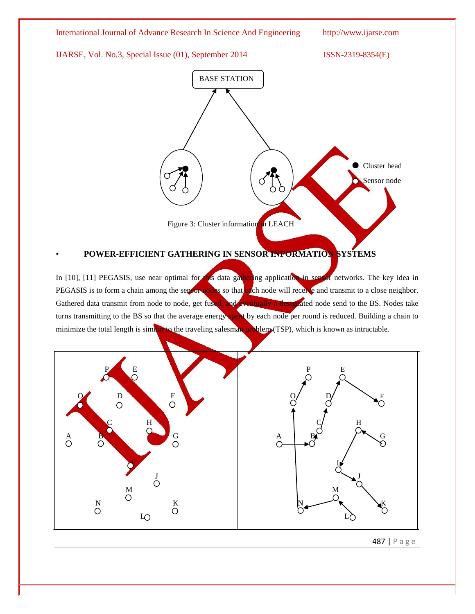

### • **POWER-EFFICIENT GATHERING IN SENSOR INFORMATION SYSTEMS**

In [10], [11] PEGASIS, use near optimal for this data gathering application in sensor networks. The key idea in PEGASIS is to form a chain among the sensor nodes so that each node will receive and transmit to a close neighbor. Gathered data transmit from node to node, get fused, and eventually a designated node send to the BS. Nodes take turns transmitting to the BS so that the average energy spent by each node per round is reduced. Building a chain to minimize the total length is similar to the traveling salesman problem (TSP), which is known as intractable.



487 | P a g e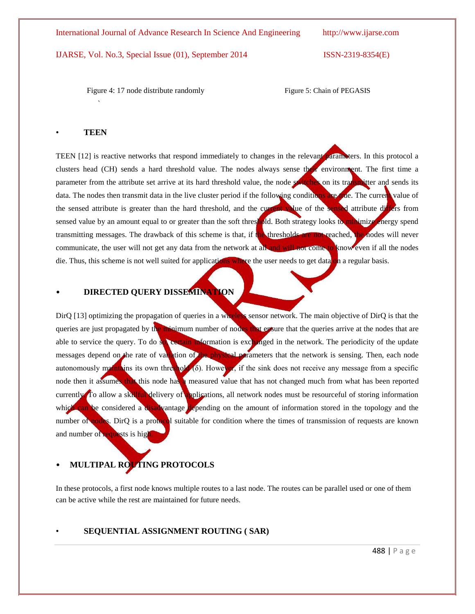Figure 4: 17 node distribute randomly Figure 5: Chain of PEGASIS

### • **TEEN**

`

TEEN [12] is reactive networks that respond immediately to changes in the relevant parameters. In this protocol a clusters head (CH) sends a hard threshold value. The nodes always sense their environment. The first time a parameter from the attribute set arrive at its hard threshold value, the node switches on its transmitter and sends its data. The nodes then transmit data in the live cluster period if the following conditions are true. The current value of the sensed attribute is greater than the hard threshold, and the current value of the sensed attribute differs from sensed value by an amount equal to or greater than the soft threshold. Both strategy looks to minimize energy spend transmitting messages. The drawback of this scheme is that, if the thresholds are not reached, the nodes will never communicate, the user will not get any data from the network at all and will not come to know even if all the nodes die. Thus, this scheme is not well suited for applications where the user needs to get data on a regular basis.

### • **DIRECTED QUERY DISSEMINATION**

DirQ [13] optimizing the propagation of queries in a wireless sensor network. The main objective of DirQ is that the queries are just propagated by the minimum number of nodes that ensure that the queries arrive at the nodes that are able to service the query. To do so, certain information is exchanged in the network. The periodicity of the update messages depend on the rate of variation of the physical parameters that the network is sensing. Then, each node autonomously maintains its own threshold  $(\delta)$ . However, if the sink does not receive any message from a specific node then it assumes that this node has a measured value that has not changed much from what has been reported currently. To allow a skillful delivery of applications, all network nodes must be resourceful of storing information which can be considered a disadvantage depending on the amount of information stored in the topology and the number of nodes. DirQ is a protocol suitable for condition where the times of transmission of requests are known and number of requests is high

### **MULTIPAL ROUTING PROTOCOLS**

In these protocols, a first node knows multiple routes to a last node. The routes can be parallel used or one of them can be active while the rest are maintained for future needs.

### • **SEQUENTIAL ASSIGNMENT ROUTING ( SAR)**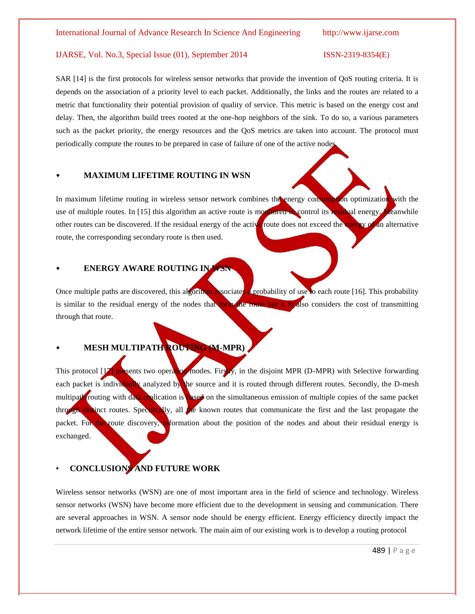SAR [14] is the first protocols for wireless sensor networks that provide the invention of QoS routing criteria. It is depends on the association of a priority level to each packet. Additionally, the links and the routes are related to a metric that functionality their potential provision of quality of service. This metric is based on the energy cost and delay. Then, the algorithm build trees rooted at the one-hop neighbors of the sink. To do so, a various parameters such as the packet priority, the energy resources and the QoS metrics are taken into account. The protocol must periodically compute the routes to be prepared in case of failure of one of the active nodes.

### • **MAXIMUM LIFETIME ROUTING IN WSN**

In maximum lifetime routing in wireless sensor network combines the energy consumption optimization with the use of multiple routes. In [15] this algorithm an active route is monitored to control its residual energy. Meanwhile other routes can be discovered. If the residual energy of the active route does not exceed the energy of an alternative route, the corresponding secondary route is then used.

### • **ENERGY AWARE ROUTING IN WSN**

Once multiple paths are discovered, this algorithm associates a probability of use to each route [16]. This probability is similar to the residual energy of the nodes that form the route but it is also considers the cost of transmitting through that route.

## • **MESH MULTIPATH ROUTING (M-MPR)**

This protocol [17] presents two operation modes. Firstly, in the disjoint MPR (D-MPR) with Selective forwarding each packet is individually analyzed by the source and it is routed through different routes. Secondly, the D-mesh multipath routing with data replication is based on the simultaneous emission of multiple copies of the same packet through distinct routes. Specifically, all the known routes that communicate the first and the last propagate the packet. For the route discovery, information about the position of the nodes and about their residual energy is exchanged.

### • **CONCLUSIONS AND FUTURE WORK**

Wireless sensor networks (WSN) are one of most important area in the field of science and technology. Wireless sensor networks (WSN) have become more efficient due to the development in sensing and communication. There are several approaches in WSN. A sensor node should be energy efficient. Energy efficiency directly impact the network lifetime of the entire sensor network. The main aim of our existing work is to develop a routing protocol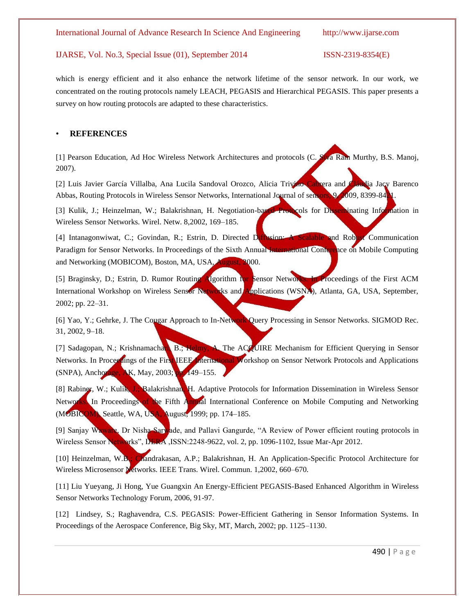which is energy efficient and it also enhance the network lifetime of the sensor network. In our work, we concentrated on the routing protocols namely LEACH, PEGASIS and Hierarchical PEGASIS. This paper presents a survey on how routing protocols are adapted to these characteristics.

### • **REFERENCES**

[1] Pearson Education, Ad Hoc Wireless Network Architectures and protocols (C. Siva Ram Murthy, B.S. Manoj, 2007).

[2] Luis Javier García Villalba, Ana Lucila Sandoval Orozco, Alicia Trivino Cabrera and Cláudia Jacy Barenco Abbas, Routing Protocols in Wireless Sensor Networks, International Journal of sensors, 9, 2009, 8399-84.

[3] Kulik, J.; Heinzelman, W.; Balakrishnan, H. Negotiation-based Protocols for Disseminating Information in Wireless Sensor Networks. Wirel. Netw. 8,2002, 169–185.

[4] Intanagonwiwat, C.; Govindan, R.; Estrin, D. Directed Diffusion: A Scalable and Robust Communication Paradigm for Sensor Networks. In Proceedings of the Sixth Annual International Conference on Mobile Computing and Networking (MOBICOM), Boston, MA, USA, August, 2000.

[5] Braginsky, D.; Estrin, D. Rumor Routing Algorithm for Sensor Networks. In Proceedings of the First ACM International Workshop on Wireless Sensor Networks and Applications (WSNA), Atlanta, GA, USA, September, 2002; pp. 22–31.

[6] Yao, Y.; Gehrke, J. The Cougar Approach to In-Network Query Processing in Sensor Networks. SIGMOD Rec. 31, 2002, 9–18.

[7] Sadagopan, N.; Krishnamachari, B.; Helmy, A. The ACQUIRE Mechanism for Efficient Querying in Sensor Networks. In Proceedings of the First IEEE International Workshop on Sensor Network Protocols and Applications (SNPA), Anchorage, AK, May, 2003; pp. 149–155.

[8] Rabiner, W.; Kulik, J.; Balakrishnan, H. Adaptive Protocols for Information Dissemination in Wireless Sensor Networks. In Proceedings of the Fifth Annual International Conference on Mobile Computing and Networking (MOBICOM), Seattle, WA, USA, August, 1999; pp. 174–185.

[9] Sanjay Waware, Dr Nisha Sarwade, and Pallavi Gangurde, "A Review of Power efficient routing protocols in Wireless Sensor Networks", IJERA ,ISSN:2248-9622, vol. 2, pp. 1096-1102, Issue Mar-Apr 2012.

[10] Heinzelman, W.B.; Chandrakasan, A.P.; Balakrishnan, H. An Application-Specific Protocol Architecture for Wireless Microsensor Networks. IEEE Trans. Wirel. Commun. 1,2002, 660–670.

[11] Liu Yueyang, Ji Hong, Yue Guangxin An Energy-Efficient PEGASIS-Based Enhanced Algorithm in Wireless Sensor Networks Technology Forum, 2006, 91-97.

[12] Lindsey, S.; Raghavendra, C.S. PEGASIS: Power-Efficient Gathering in Sensor Information Systems. In Proceedings of the Aerospace Conference, Big Sky, MT, March, 2002; pp. 1125–1130.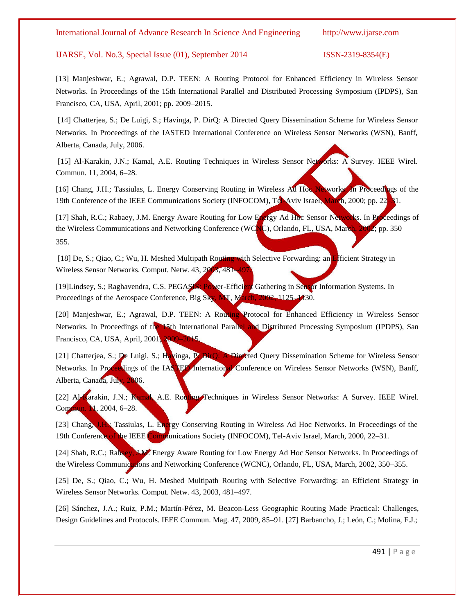### IJARSE, Vol. No.3, Special Issue (01), September 2014 ISSN-2319-8354(E)

[13] Manjeshwar, E.; Agrawal, D.P. TEEN: A Routing Protocol for Enhanced Efficiency in Wireless Sensor Networks. In Proceedings of the 15th International Parallel and Distributed Processing Symposium (IPDPS), San Francisco, CA, USA, April, 2001; pp. 2009–2015.

[14] Chatterjea, S.; De Luigi, S.; Havinga, P. DirQ: A Directed Query Dissemination Scheme for Wireless Sensor Networks. In Proceedings of the IASTED International Conference on Wireless Sensor Networks (WSN), Banff, Alberta, Canada, July, 2006.

[15] Al-Karakin, J.N.; Kamal, A.E. Routing Techniques in Wireless Sensor Networks: A Survey. IEEE Wirel. Commun. 11, 2004, 6–28.

[16] Chang, J.H.; Tassiulas, L. Energy Conserving Routing in Wireless Ad Hoc Networks. In Proceedings of the 19th Conference of the IEEE Communications Society (INFOCOM), Tel-Aviv Israel, March, 2000; pp. 22–31.

[17] Shah, R.C.; Rabaey, J.M. Energy Aware Routing for Low Energy Ad Hoc Sensor Networks. In Proceedings of the Wireless Communications and Networking Conference (WCNC), Orlando, FL, USA, March, 2002; pp. 350– 355.

[18] De, S.; Qiao, C.; Wu, H. Meshed Multipath Routing with Selective Forwarding: an Efficient Strategy in Wireless Sensor Networks. Comput. Netw. 43, 2003, 481-497.

[19]Lindsey, S.; Raghavendra, C.S. PEGASIS: Power-Efficient Gathering in Sensor Information Systems. In Proceedings of the Aerospace Conference, Big Sky, MT, March, 2002, 1125–1130.

[20] Manjeshwar, E.; Agrawal, D.P. TEEN: A Routing Protocol for Enhanced Efficiency in Wireless Sensor Networks. In Proceedings of the 15th International Parallel and Distributed Processing Symposium (IPDPS), San Francisco, CA, USA, April, 2001, 2009-20

[21] Chatterjea, S.; De Luigi, S.; Havinga, P. DirQ: A Directed Query Dissemination Scheme for Wireless Sensor Networks. In Proceedings of the IASTED International Conference on Wireless Sensor Networks (WSN), Banff, Alberta, Canada, July, 2006.

[22] Al-Karakin, J.N.; Kamal, A.E. Routing Techniques in Wireless Sensor Networks: A Survey. IEEE Wirel. Commun. 1, 2004, 6-28.

[23] Chang, J.H.; Tassiulas, L. Energy Conserving Routing in Wireless Ad Hoc Networks. In Proceedings of the 19th Conference of the IEEE Communications Society (INFOCOM), Tel-Aviv Israel, March, 2000, 22–31.

[24] Shah, R.C.; Rabaey, J.M. Energy Aware Routing for Low Energy Ad Hoc Sensor Networks. In Proceedings of the Wireless Communications and Networking Conference (WCNC), Orlando, FL, USA, March, 2002, 350–355.

[25] De, S.; Qiao, C.; Wu, H. Meshed Multipath Routing with Selective Forwarding: an Efficient Strategy in Wireless Sensor Networks. Comput. Netw. 43, 2003, 481–497.

[26] Sánchez, J.A.; Ruiz, P.M.; Martín-Pérez, M. Beacon-Less Geographic Routing Made Practical: Challenges, Design Guidelines and Protocols. IEEE Commun. Mag. 47, 2009, 85–91. [27] Barbancho, J.; León, C.; Molina, F.J.;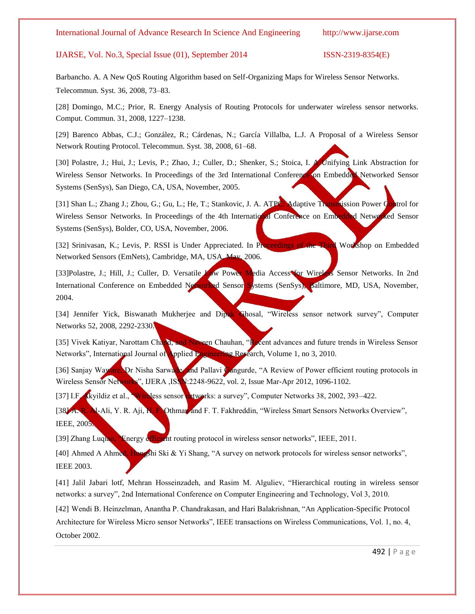### IJARSE, Vol. No.3, Special Issue (01), September 2014 ISSN-2319-8354(E)

Barbancho. A. A New QoS Routing Algorithm based on Self-Organizing Maps for Wireless Sensor Networks. Telecommun. Syst. 36, 2008, 73–83.

[28] Domingo, M.C.; Prior, R. Energy Analysis of Routing Protocols for underwater wireless sensor networks. Comput. Commun. 31, 2008, 1227–1238.

[29] Barenco Abbas, C.J.; González, R.; Cárdenas, N.; García Villalba, L.J. A Proposal of a Wireless Sensor Network Routing Protocol. Telecommun. Syst. 38, 2008, 61–68.

[30] Polastre, J.; Hui, J.; Levis, P.; Zhao, J.; Culler, D.; Shenker, S.; Stoica, I. A Unifying Link Abstraction for Wireless Sensor Networks. In Proceedings of the 3rd International Conference on Embedded Networked Sensor Systems (SenSys), San Diego, CA, USA, November, 2005.

[31] Shan L.; Zhang J.; Zhou, G.; Gu, L.; He, T.; Stankovic, J. A. ATPC: Adaptive Transmission Power Control for Wireless Sensor Networks. In Proceedings of the 4th International Conference on Embedded Networked Sensor Systems (SenSys), Bolder, CO, USA, November, 2006.

[32] Srinivasan, K.; Levis, P. RSSI is Under Appreciated. In Proceedings of the Third Workshop on Embedded Networked Sensors (EmNets), Cambridge, MA, USA, May, 2006.

[33]Polastre, J.; Hill, J.; Culler, D. Versatile Low Power Media Access for Wireless Sensor Networks. In 2nd International Conference on Embedded Networked Sensor Systems (SenSys), Baltimore, MD, USA, November, 2004.

[34] Jennifer Yick, Biswanath Mukherjee and Dipak Ghosal, "Wireless sensor network survey", Computer Networks 52, 2008, 2292-2330.

[35] Vivek Katiyar, Narottam Chand, and Naveen Chauhan, "Recent advances and future trends in Wireless Sensor Networks", International Journal of Applied Engineering Research, Volume 1, no 3, 2010.

[36] Sanjay Waware, Dr Nisha Sarwade, and Pallavi Gangurde, "A Review of Power efficient routing protocols in Wireless Sensor Networks", IJERA ,ISSN: 2248-9622, vol. 2, Issue Mar-Apr 2012, 1096-1102.

[37] I.F. Akyildiz et al., "Wireless sensor networks: a survey", Computer Networks 38, 2002, 393-422.

[38] A. R. Al-Ali, Y. R. Aji, H. F. Othman and F. T. Fakhreddin, "Wireless Smart Sensors Networks Overview", IEEE, 2005.

[39] Zhang Luquao, "Energy efficient routing protocol in wireless sensor networks", IEEE, 2011.

[40] Ahmed A Ahmed, Hongshi Ski & Yi Shang, "A survey on network protocols for wireless sensor networks", IEEE 2003.

[41] Jalil Jabari lotf, Mehran Hosseinzadeh, and Rasim M. Alguliev, "Hierarchical routing in wireless sensor networks: a survey", 2nd International Conference on Computer Engineering and Technology, Vol 3, 2010.

[42] Wendi B. Heinzelman, Anantha P. Chandrakasan, and Hari Balakrishnan, "An Application-Specific Protocol Architecture for Wireless Micro sensor Networks", IEEE transactions on Wireless Communications, Vol. 1, no. 4, October 2002.